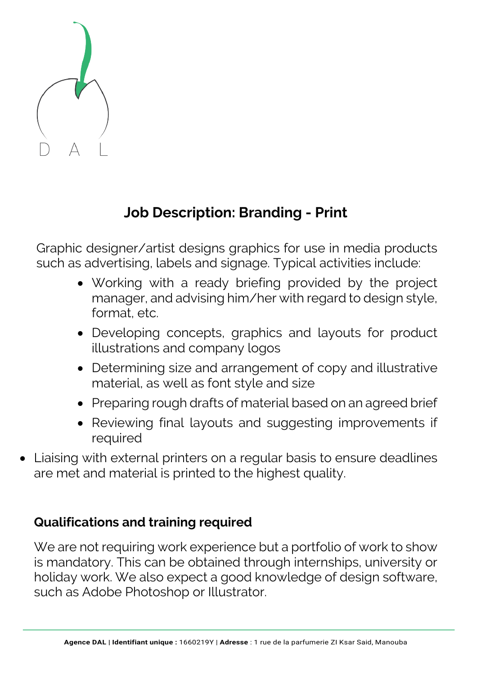

## **Job Description: Branding - Print**

Graphic designer/artist designs graphics for use in media products such as advertising, labels and signage. Typical activities include:

- Working with a ready briefing provided by the project manager, and advising him/her with regard to design style, format, etc.
- Developing concepts, graphics and layouts for product illustrations and company logos
- Determining size and arrangement of copy and illustrative material, as well as font style and size
- Preparing rough drafts of material based on an agreed brief
- Reviewing final layouts and suggesting improvements if required
- Liaising with external printers on a regular basis to ensure deadlines are met and material is printed to the highest quality.

## **Qualifications and training required**

We are not requiring work experience but a portfolio of work to show is mandatory. This can be obtained through internships, university or holiday work. We also expect a good knowledge of design software, such as Adobe Photoshop or Illustrator.